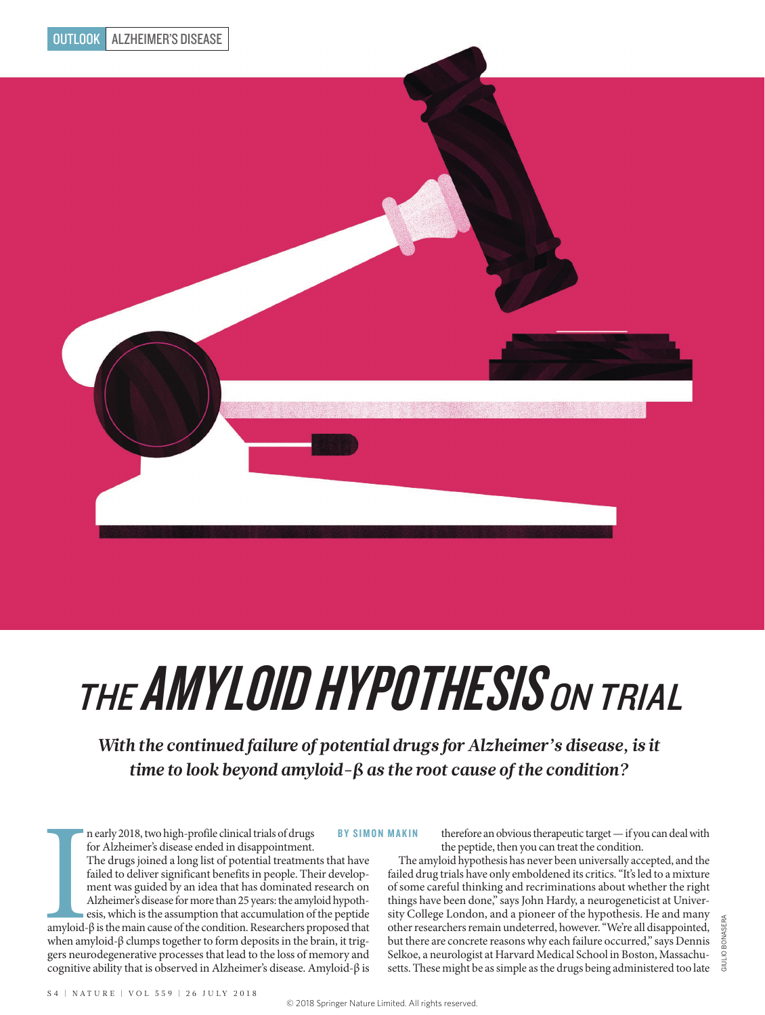



# THE AMYLOID HYPOTHESIS ON TRIAL

With the continued failure of potential drugs for Alzheimer's disease, is it *time to look beyond amyloid-β as the root cause of the condition?*

n early 2018, two high-profile clinical trials of drugs for Alzheimer's disease ended in disappointment.

Final<br>
amyloid-<br>
when am The drugs joined a long list of potential treatments that have failed to deliver significant benefits in people. Their development was guided by an idea that has dominated research on Alzheimer's disease for more than 25 years: the amyloid hypothesis, which is the assumption that accumulation of the peptide amyloid-β is the main cause of the condition. Researchers proposed that when amyloid-β clumps together to form deposits in the brain, it triggers neurodegenerative processes that lead to the loss of memory and cognitive ability that is observed in Alzheimer's disease. Amyloid-β is

BY SIMON MAKIN

therefore an obvious therapeutic target — if you can deal with the peptide, then you can treat the condition.

The amyloid hypothesis has never been universally accepted, and the failed drug trials have only emboldened its critics. "It's led to a mixture of some careful thinking and recriminations about whether the right things have been done," says John Hardy, a neurogeneticist at University College London, and a pioneer of the hypothesis. He and many other researchers remain undeterred, however. "We're all disappointed, but there are concrete reasons why each failure occurred," says Dennis Selkoe, a neurologist at Harvard Medical School in Boston, Massachusetts. These might be as simple as the drugs being administered too late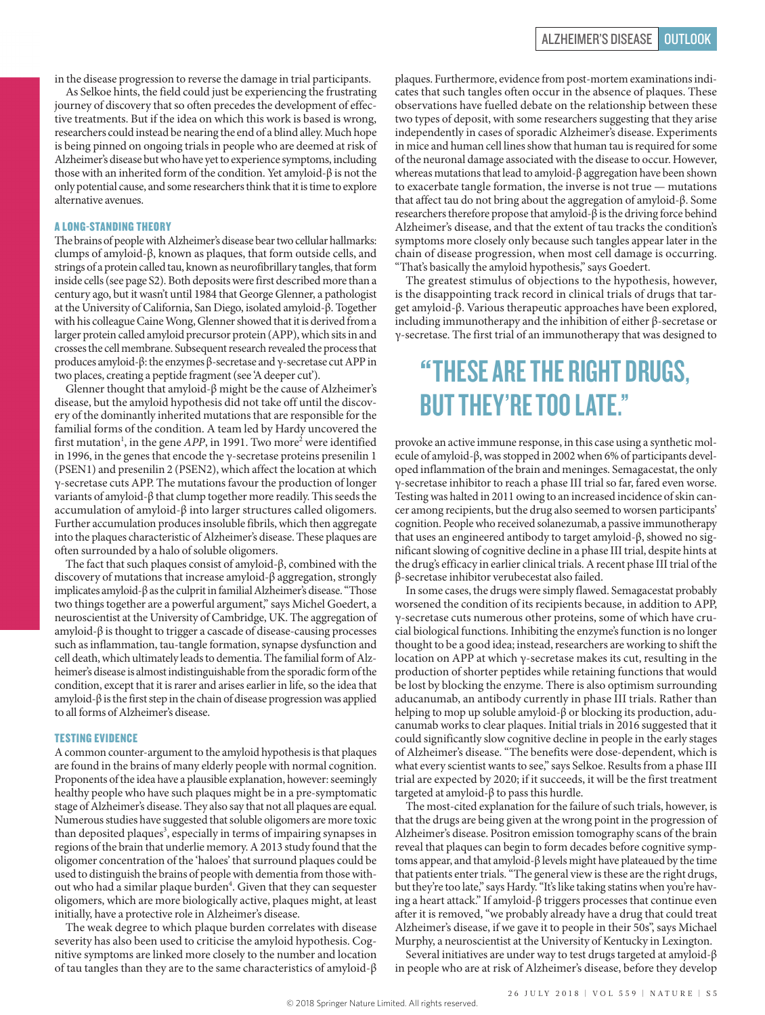in the disease progression to reverse the damage in trial participants.

As Selkoe hints, the field could just be experiencing the frustrating journey of discovery that so often precedes the development of effective treatments. But if the idea on which this work is based is wrong, researchers could instead be nearing the end of a blind alley. Much hope is being pinned on ongoing trials in people who are deemed at risk of Alzheimer's disease but who have yet to experience symptoms, including those with an inherited form of the condition. Yet amyloid-β is not the only potential cause, and some researchers think that it is time to explore alternative avenues.

#### A LONG-STANDING THEORY

The brains of people with Alzheimer's disease bear two cellular hallmarks: clumps of amyloid-β, known as plaques, that form outside cells, and strings of a protein called tau, known as neurofibrillary tangles, that form inside cells (see page S2). Both deposits were first described more than a century ago, but it wasn't until 1984 that George Glenner, a pathologist at the University of California, San Diego, isolated amyloid-β. Together with his colleague Caine Wong, Glenner showed that it is derived from a larger protein called amyloid precursor protein (APP), which sits in and crosses the cell membrane. Subsequent research revealed the process that produces amyloid-β: the enzymes β-secretase and γ-secretase cut APP in two places, creating a peptide fragment (see 'A deeper cut').

Glenner thought that amyloid-β might be the cause of Alzheimer's disease, but the amyloid hypothesis did not take off until the discovery of the dominantly inherited mutations that are responsible for the familial forms of the condition. A team led by Hardy uncovered the first mutation<sup>1</sup>, in the gene *APP*, in 1991. Two more<sup>2</sup> were identified in 1996, in the genes that encode the γ-secretase proteins presenilin 1 (PSEN1) and presenilin 2 (PSEN2), which affect the location at which γ-secretase cuts APP. The mutations favour the production of longer variants of amyloid-β that clump together more readily. This seeds the accumulation of amyloid-β into larger structures called oligomers. Further accumulation produces insoluble fibrils, which then aggregate into the plaques characteristic of Alzheimer's disease. These plaques are often surrounded by a halo of soluble oligomers.

The fact that such plaques consist of amyloid-β, combined with the discovery of mutations that increase amyloid-β aggregation, strongly implicates amyloid-β as the culprit in familial Alzheimer's disease. "Those two things together are a powerful argument," says Michel Goedert, a neuroscientist at the University of Cambridge, UK. The aggregation of amyloid-β is thought to trigger a cascade of disease-causing processes such as inflammation, tau-tangle formation, synapse dysfunction and cell death, which ultimately leads to dementia. The familial form of Alzheimer's disease is almost indistinguishable from the sporadic form of the condition, except that it is rarer and arises earlier in life, so the idea that amyloid-β is the first step in the chain of disease progression was applied to all forms of Alzheimer's disease.

#### TESTING EVIDENCE

A common counter-argument to the amyloid hypothesis is that plaques are found in the brains of many elderly people with normal cognition. Proponents of the idea have a plausible explanation, however: seemingly healthy people who have such plaques might be in a pre-symptomatic stage of Alzheimer's disease. They also say that not all plaques are equal. Numerous studies have suggested that soluble oligomers are more toxic than deposited plaques<sup>3</sup>, especially in terms of impairing synapses in regions of the brain that underlie memory. A 2013 study found that the oligomer concentration of the 'haloes' that surround plaques could be used to distinguish the brains of people with dementia from those without who had a similar plaque burden<sup>4</sup>. Given that they can sequester oligomers, which are more biologically active, plaques might, at least initially, have a protective role in Alzheimer's disease.

The weak degree to which plaque burden correlates with disease severity has also been used to criticise the amyloid hypothesis. Cognitive symptoms are linked more closely to the number and location of tau tangles than they are to the same characteristics of amyloid-β

plaques. Furthermore, evidence from post-mortem examinations indicates that such tangles often occur in the absence of plaques. These observations have fuelled debate on the relationship between these two types of deposit, with some researchers suggesting that they arise independently in cases of sporadic Alzheimer's disease. Experiments in mice and human cell lines show that human tau is required for some of the neuronal damage associated with the disease to occur. However, whereas mutations that lead to amyloid-β aggregation have been shown to exacerbate tangle formation, the inverse is not true — mutations that affect tau do not bring about the aggregation of amyloid-β. Some researchers therefore propose that amyloid-β is the driving force behind Alzheimer's disease, and that the extent of tau tracks the condition's symptoms more closely only because such tangles appear later in the chain of disease progression, when most cell damage is occurring. "That's basically the amyloid hypothesis," says Goedert.

The greatest stimulus of objections to the hypothesis, however, is the disappointing track record in clinical trials of drugs that target amyloid-β. Various therapeutic approaches have been explored, including immunotherapy and the inhibition of either β-secretase or γ-secretase. The first trial of an immunotherapy that was designed to

## "THESE ARE THE RIGHT DRUGS, BUT THEY'RE TOO LATE."

provoke an active immune response, in this case using a synthetic molecule of amyloid-β, was stopped in 2002 when 6% of participants developed inflammation of the brain and meninges. Semagacestat, the only γ-secretase inhibitor to reach a phase III trial so far, fared even worse. Testing was halted in 2011 owing to an increased incidence of skin cancer among recipients, but the drug also seemed to worsen participants' cognition. People who received solanezumab, a passive immunotherapy that uses an engineered antibody to target amyloid-β, showed no significant slowing of cognitive decline in a phase III trial, despite hints at the drug's efficacy in earlier clinical trials. A recent phase III trial of the β-secretase inhibitor verubecestat also failed.

In some cases, the drugs were simply flawed. Semagacestat probably worsened the condition of its recipients because, in addition to APP, γ-secretase cuts numerous other proteins, some of which have crucial biological functions. Inhibiting the enzyme's function is no longer thought to be a good idea; instead, researchers are working to shift the location on APP at which γ-secretase makes its cut, resulting in the production of shorter peptides while retaining functions that would be lost by blocking the enzyme. There is also optimism surrounding aducanumab, an antibody currently in phase III trials. Rather than helping to mop up soluble amyloid-β or blocking its production, aducanumab works to clear plaques. Initial trials in 2016 suggested that it could significantly slow cognitive decline in people in the early stages of Alzheimer's disease. "The benefits were dose-dependent, which is what every scientist wants to see," says Selkoe. Results from a phase III trial are expected by 2020; if it succeeds, it will be the first treatment targeted at amyloid-β to pass this hurdle.

The most-cited explanation for the failure of such trials, however, is that the drugs are being given at the wrong point in the progression of Alzheimer's disease. Positron emission tomography scans of the brain reveal that plaques can begin to form decades before cognitive symptoms appear, and that amyloid-β levels might have plateaued by the time that patients enter trials. "The general view is these are the right drugs, but they're too late," says Hardy. "It's like taking statins when you're having a heart attack." If amyloid-β triggers processes that continue even after it is removed, "we probably already have a drug that could treat Alzheimer's disease, if we gave it to people in their 50s", says Michael Murphy, a neuroscientist at the University of Kentucky in Lexington.

Several initiatives are under way to test drugs targeted at amyloid-β in people who are at risk of Alzheimer's disease, before they develop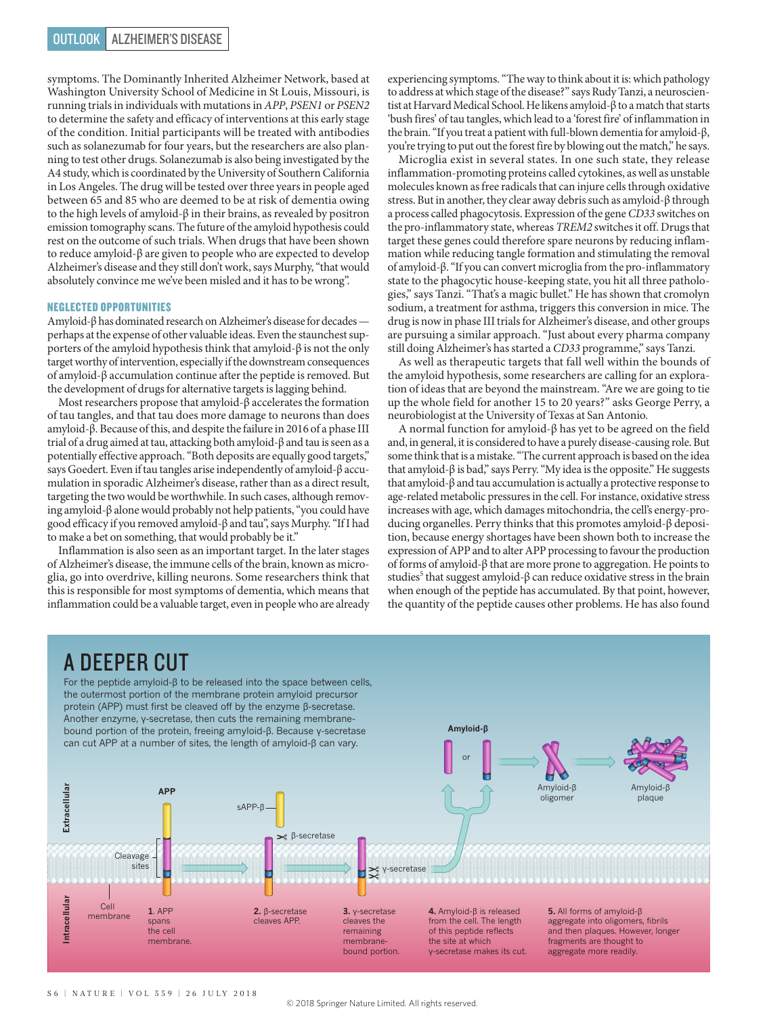symptoms. The Dominantly Inherited Alzheimer Network, based at Washington University School of Medicine in St Louis, Missouri, is running trials in individuals with mutations in *APP*, *PSEN1* or *PSEN2* to determine the safety and efficacy of interventions at this early stage of the condition. Initial participants will be treated with antibodies such as solanezumab for four years, but the researchers are also planning to test other drugs. Solanezumab is also being investigated by the A4 study, which is coordinated by the University of Southern California in Los Angeles. The drug will be tested over three years in people aged between 65 and 85 who are deemed to be at risk of dementia owing to the high levels of amyloid-β in their brains, as revealed by positron emission tomography scans. The future of the amyloid hypothesis could rest on the outcome of such trials. When drugs that have been shown to reduce amyloid-β are given to people who are expected to develop Alzheimer's disease and they still don't work, says Murphy, "that would absolutely convince me we've been misled and it has to be wrong".

#### NEGLECTED OPPORTUNITIES

Amyloid-β has dominated research on Alzheimer's disease for decades perhaps at the expense of other valuable ideas. Even the staunchest supporters of the amyloid hypothesis think that amyloid-β is not the only target worthy of intervention, especially if the downstream consequences of amyloid-β accumulation continue after the peptide is removed. But the development of drugs for alternative targets is lagging behind.

Most researchers propose that amyloid-β accelerates the formation of tau tangles, and that tau does more damage to neurons than does amyloid-β. Because of this, and despite the failure in 2016 of a phase III trial of a drug aimed at tau, attacking both amyloid-β and tau is seen as a potentially effective approach. "Both deposits are equally good targets," says Goedert. Even if tau tangles arise independently of amyloid-β accumulation in sporadic Alzheimer's disease, rather than as a direct result, targeting the two would be worthwhile. In such cases, although removing amyloid-β alone would probably not help patients, "you could have good efficacy if you removed amyloid-β and tau", says Murphy. "If I had to make a bet on something, that would probably be it."

Inflammation is also seen as an important target. In the later stages of Alzheimer's disease, the immune cells of the brain, known as microglia, go into overdrive, killing neurons. Some researchers think that this is responsible for most symptoms of dementia, which means that inflammation could be a valuable target, even in people who are already experiencing symptoms. "The way to think about it is: which pathology to address at which stage of the disease?" says Rudy Tanzi, a neuroscientist at Harvard Medical School. He likens amyloid-β to a match that starts 'bush fires' of tau tangles, which lead to a 'forest fire' of inflammation in the brain. "If you treat a patient with full-blown dementia for amyloid-β, you're trying to put out the forest fire by blowing out the match," he says.

Microglia exist in several states. In one such state, they release inflammation-promoting proteins called cytokines, as well as unstable molecules known as free radicals that can injure cells through oxidative stress. But in another, they clear away debris such as amyloid-β through a process called phagocytosis. Expression of the gene *CD33* switches on the pro-inflammatory state, whereas *TREM2* switches it off. Drugs that target these genes could therefore spare neurons by reducing inflammation while reducing tangle formation and stimulating the removal of amyloid-β. "If you can convert microglia from the pro-inflammatory state to the phagocytic house-keeping state, you hit all three pathologies," says Tanzi. "That's a magic bullet." He has shown that cromolyn sodium, a treatment for asthma, triggers this conversion in mice. The drug is now in phase III trials for Alzheimer's disease, and other groups are pursuing a similar approach. "Just about every pharma company still doing Alzheimer's has started a *CD33* programme," says Tanzi.

As well as therapeutic targets that fall well within the bounds of the amyloid hypothesis, some researchers are calling for an exploration of ideas that are beyond the mainstream. "Are we are going to tie up the whole field for another 15 to 20 years?" asks George Perry, a neurobiologist at the University of Texas at San Antonio.

A normal function for amyloid-β has yet to be agreed on the field and, in general, it is considered to have a purely disease-causing role. But some think that is a mistake. "The current approach is based on the idea that amyloid-β is bad," says Perry. "My idea is the opposite." He suggests that amyloid-β and tau accumulation is actually a protective response to age-related metabolic pressures in the cell. For instance, oxidative stress increases with age, which damages mitochondria, the cell's energy-producing organelles. Perry thinks that this promotes amyloid-β deposition, because energy shortages have been shown both to increase the expression of APP and to alter APP processing to favour the production of forms of amyloid-β that are more prone to aggregation. He points to studies<sup>5</sup> that suggest amyloid-β can reduce oxidative stress in the brain when enough of the peptide has accumulated. By that point, however, the quantity of the peptide causes other problems. He has also found

### A DEEPER CUT



S6 | NAT U R E | VOL 559 | 26 J U LY 2018